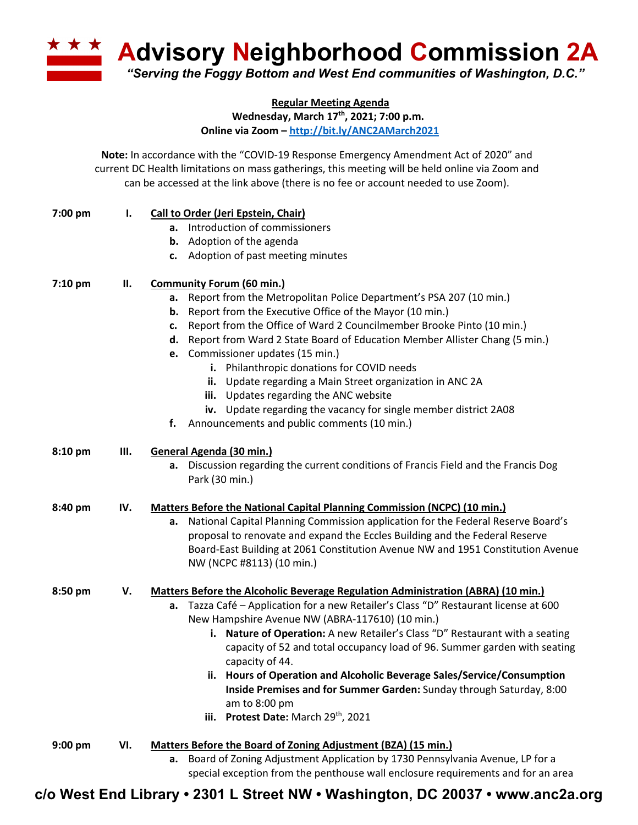**A Advisory Neighborhood Commission 2A** *"Serving the Foggy Bottom and West End communities of Washington, D.C."*

**Regular Meeting Agenda**

**Wednesday, March 17th, 2021; 7:00 p.m.**

**Online via Zoom – http://bit.ly/ANC2AMarch2021**

**Note:** In accordance with the "COVID-19 Response Emergency Amendment Act of 2020" and current DC Health limitations on mass gatherings, this meeting will be held online via Zoom and can be accessed at the link above (there is no fee or account needed to use Zoom).

| 7:00 pm   | Ι.  | Call to Order (Jeri Epstein, Chair)                                                                                                                                 |
|-----------|-----|---------------------------------------------------------------------------------------------------------------------------------------------------------------------|
|           |     | Introduction of commissioners<br>а.                                                                                                                                 |
|           |     | <b>b.</b> Adoption of the agenda                                                                                                                                    |
|           |     | c. Adoption of past meeting minutes                                                                                                                                 |
| 7:10 pm   | П.  | <b>Community Forum (60 min.)</b>                                                                                                                                    |
|           |     | Report from the Metropolitan Police Department's PSA 207 (10 min.)<br>а.                                                                                            |
|           |     | Report from the Executive Office of the Mayor (10 min.)<br>b.                                                                                                       |
|           |     | Report from the Office of Ward 2 Councilmember Brooke Pinto (10 min.)<br>c.                                                                                         |
|           |     | d. Report from Ward 2 State Board of Education Member Allister Chang (5 min.)                                                                                       |
|           |     | e. Commissioner updates (15 min.)                                                                                                                                   |
|           |     | i. Philanthropic donations for COVID needs                                                                                                                          |
|           |     | ii. Update regarding a Main Street organization in ANC 2A                                                                                                           |
|           |     | iii. Updates regarding the ANC website                                                                                                                              |
|           |     | Update regarding the vacancy for single member district 2A08<br>iv.                                                                                                 |
|           |     | f. Announcements and public comments (10 min.)                                                                                                                      |
| 8:10 pm   | Ш.  | General Agenda (30 min.)                                                                                                                                            |
|           |     | Discussion regarding the current conditions of Francis Field and the Francis Dog<br>а.                                                                              |
|           |     | Park (30 min.)                                                                                                                                                      |
|           |     |                                                                                                                                                                     |
| 8:40 pm   | IV. | Matters Before the National Capital Planning Commission (NCPC) (10 min.)                                                                                            |
|           |     | National Capital Planning Commission application for the Federal Reserve Board's<br>а.                                                                              |
|           |     | proposal to renovate and expand the Eccles Building and the Federal Reserve                                                                                         |
|           |     | Board-East Building at 2061 Constitution Avenue NW and 1951 Constitution Avenue                                                                                     |
|           |     | NW (NCPC #8113) (10 min.)                                                                                                                                           |
| 8:50 pm   | V.  | <b>Matters Before the Alcoholic Beverage Regulation Administration (ABRA) (10 min.)</b>                                                                             |
|           |     | Tazza Café - Application for a new Retailer's Class "D" Restaurant license at 600<br>а.                                                                             |
|           |     | New Hampshire Avenue NW (ABRA-117610) (10 min.)                                                                                                                     |
|           |     | i. Nature of Operation: A new Retailer's Class "D" Restaurant with a seating                                                                                        |
|           |     | capacity of 52 and total occupancy load of 96. Summer garden with seating                                                                                           |
|           |     | capacity of 44.                                                                                                                                                     |
|           |     | Hours of Operation and Alcoholic Beverage Sales/Service/Consumption                                                                                                 |
|           |     | Inside Premises and for Summer Garden: Sunday through Saturday, 8:00                                                                                                |
|           |     | am to 8:00 pm                                                                                                                                                       |
|           |     | iii. Protest Date: March 29 <sup>th</sup> , 2021                                                                                                                    |
| $9:00$ pm | VI. | Matters Before the Board of Zoning Adjustment (BZA) (15 min.)                                                                                                       |
|           |     | a. Board of Zoning Adjustment Application by 1730 Pennsylvania Avenue, LP for a<br>special exception from the penthouse wall enclosure requirements and for an area |

**c/o West End Library • 2301 L Street NW • Washington, DC 20037 • www.anc2a.org**